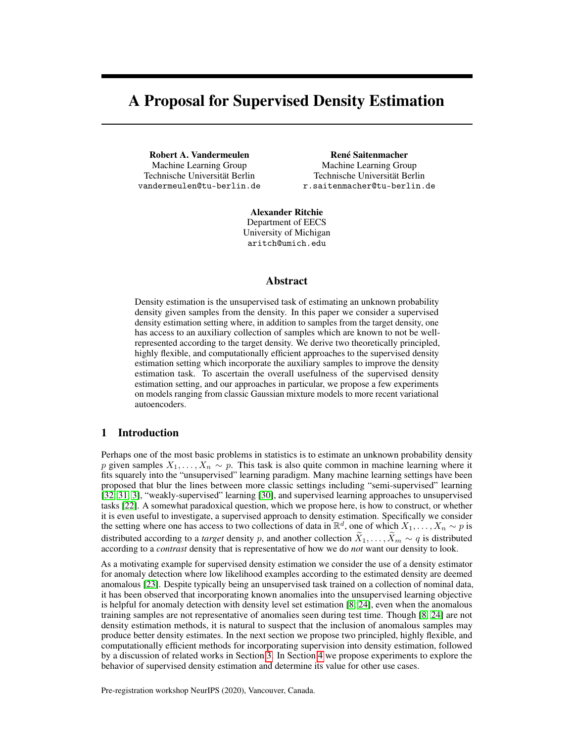# A Proposal for Supervised Density Estimation

Robert A. Vandermeulen Machine Learning Group Technische Universität Berlin vandermeulen@tu-berlin.de

René Saitenmacher Machine Learning Group Technische Universität Berlin r.saitenmacher@tu-berlin.de

Alexander Ritchie Department of EECS University of Michigan aritch@umich.edu

# Abstract

Density estimation is the unsupervised task of estimating an unknown probability density given samples from the density. In this paper we consider a supervised density estimation setting where, in addition to samples from the target density, one has access to an auxiliary collection of samples which are known to not be wellrepresented according to the target density. We derive two theoretically principled, highly flexible, and computationally efficient approaches to the supervised density estimation setting which incorporate the auxiliary samples to improve the density estimation task. To ascertain the overall usefulness of the supervised density estimation setting, and our approaches in particular, we propose a few experiments on models ranging from classic Gaussian mixture models to more recent variational autoencoders.

# 1 Introduction

Perhaps one of the most basic problems in statistics is to estimate an unknown probability density p given samples  $X_1, \ldots, X_n \sim p$ . This task is also quite common in machine learning where it fits squarely into the "unsupervised" learning paradigm. Many machine learning settings have been proposed that blur the lines between more classic settings including "semi-supervised" learning [\[32,](#page-7-0) [31,](#page-7-1) [3\]](#page-5-0), "weakly-supervised" learning [\[30\]](#page-7-2), and supervised learning approaches to unsupervised tasks [\[22\]](#page-6-0). A somewhat paradoxical question, which we propose here, is how to construct, or whether it is even useful to investigate, a supervised approach to density estimation. Specifically we consider the setting where one has access to two collections of data in  $\mathbb{R}^d$ , one of which  $X_1, \ldots, X_n \sim p$  is distributed according to a *target* density p, and another collection  $\tilde{X}_1, \ldots, \tilde{X}_m \sim q$  is distributed according to a *contrast* density that is representative of how we do *not* want our density to look.

As a motivating example for supervised density estimation we consider the use of a density estimator for anomaly detection where low likelihood examples according to the estimated density are deemed anomalous [\[23\]](#page-6-1). Despite typically being an unsupervised task trained on a collection of nominal data, it has been observed that incorporating known anomalies into the unsupervised learning objective is helpful for anomaly detection with density level set estimation [\[8,](#page-6-2) [24\]](#page-6-3), even when the anomalous training samples are not representative of anomalies seen during test time. Though [\[8,](#page-6-2) [24\]](#page-6-3) are not density estimation methods, it is natural to suspect that the inclusion of anomalous samples may produce better density estimates. In the next section we propose two principled, highly flexible, and computationally efficient methods for incorporating supervision into density estimation, followed by a discussion of related works in Section [3.](#page-3-0) In Section [4](#page-3-1) we propose experiments to explore the behavior of supervised density estimation and determine its value for other use cases.

Pre-registration workshop NeurIPS (2020), Vancouver, Canada.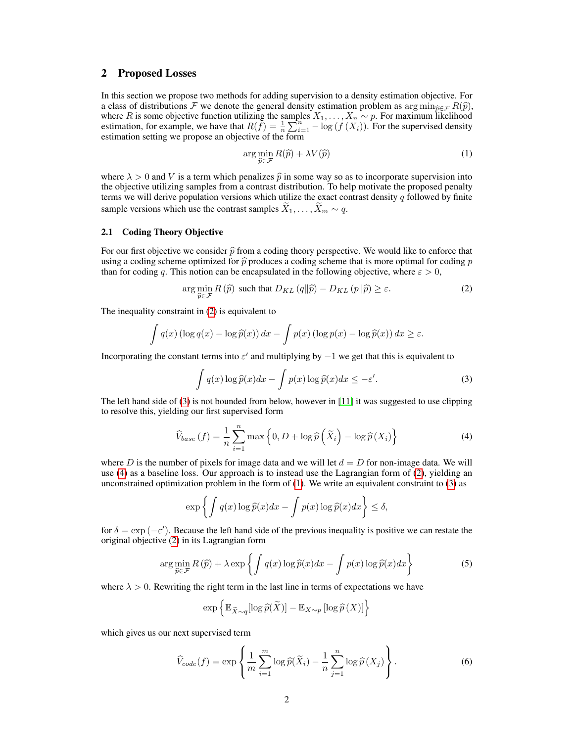## 2 Proposed Losses

In this section we propose two methods for adding supervision to a density estimation objective. For a class of distributions  $\mathcal F$  we denote the general density estimation problem as arg min $_{\widehat{p}\in\mathcal F}R(\widehat{p})$ , a class of distributions F we denote the general density estimation problem as  $\arg \min_{\widehat{p} \in \mathcal{F}} R(\widehat{p})$ , where R is some objective function utilizing the samples  $X_1, \ldots, X_n \sim p$ . For maximum likelihood estimation, for example, we have that  $R(f) = \frac{1}{n} \sum_{i=1}^{n} -\log(f(X_i))$ . For the supervised density estimation setting we propose an objective of the form

<span id="page-1-3"></span><span id="page-1-0"></span>
$$
\arg\min_{\widehat{p}\in\mathcal{F}} R(\widehat{p}) + \lambda V(\widehat{p})\tag{1}
$$

where  $\lambda > 0$  and V is a term which penalizes  $\hat{p}$  in some way so as to incorporate supervision into the objective utilizing samples from a contrast distribution. To help motivate the proposed penalty terms we will derive population versions which utilize the exact contrast density  $q$  followed by finite sample versions which use the contrast samples  $X_1, \ldots, X_m \sim q$ .

## 2.1 Coding Theory Objective

For our first objective we consider  $\hat{p}$  from a coding theory perspective. We would like to enforce that using a coding scheme optimized for  $\hat{p}$  produces a coding scheme that is more optimal for coding p than for coding q. This notion can be encapsulated in the following objective, where  $\varepsilon > 0$ ,

$$
\arg\min_{\widehat{p}\in\mathcal{F}} R\left(\widehat{p}\right) \text{ such that } D_{KL}\left(q\|\widehat{p}\right) - D_{KL}\left(p\|\widehat{p}\right) \ge \varepsilon. \tag{2}
$$

The inequality constraint in [\(2\)](#page-1-0) is equivalent to

$$
\int q(x) (\log q(x) - \log \widehat{p}(x)) dx - \int p(x) (\log p(x) - \log \widehat{p}(x)) dx \ge \varepsilon.
$$

Incorporating the constant terms into  $\varepsilon'$  and multiplying by  $-1$  we get that this is equivalent to

<span id="page-1-2"></span><span id="page-1-1"></span>
$$
\int q(x) \log \widehat{p}(x) dx - \int p(x) \log \widehat{p}(x) dx \le -\varepsilon'.
$$
 (3)

The left hand side of  $(3)$  is not bounded from below, however in [\[11\]](#page-6-4) it was suggested to use clipping to resolve this, yielding our first supervised form

$$
\widehat{V}_{base}(f) = \frac{1}{n} \sum_{i=1}^{n} \max\left\{0, D + \log \widehat{p}\left(\widetilde{X}_{i}\right) - \log \widehat{p}(X_{i})\right\}
$$
(4)

where D is the number of pixels for image data and we will let  $d = D$  for non-image data. We will use [\(4\)](#page-1-2) as a baseline loss. Our approach is to instead use the Lagrangian form of [\(2\)](#page-1-0), yielding an unconstrained optimization problem in the form of [\(1\)](#page-1-3). We write an equivalent constraint to [\(3\)](#page-1-1) as

<span id="page-1-4"></span>
$$
\exp\left\{\int q(x)\log \widehat{p}(x)dx - \int p(x)\log \widehat{p}(x)dx\right\} \le \delta,
$$

for  $\delta = \exp(-\varepsilon')$ . Because the left hand side of the previous inequality is positive we can restate the original objective [\(2\)](#page-1-0) in its Lagrangian form

$$
\arg\min_{\widehat{p}\in\mathcal{F}} R(\widehat{p}) + \lambda \exp\left\{ \int q(x) \log \widehat{p}(x) dx - \int p(x) \log \widehat{p}(x) dx \right\}
$$
(5)

where  $\lambda > 0$ . Rewriting the right term in the last line in terms of expectations we have

<span id="page-1-5"></span>
$$
\exp\left\{\mathbb{E}_{\widetilde{X}\sim q}[\log \widehat{p}(\widetilde{X})] - \mathbb{E}_{X\sim p}[\log \widehat{p}(X)]\right\}
$$

which gives us our next supervised term

$$
\widehat{V}_{code}(f) = \exp\left\{\frac{1}{m}\sum_{i=1}^{m}\log\widehat{p}(\widetilde{X}_i) - \frac{1}{n}\sum_{j=1}^{n}\log\widehat{p}(X_j)\right\}.
$$
\n(6)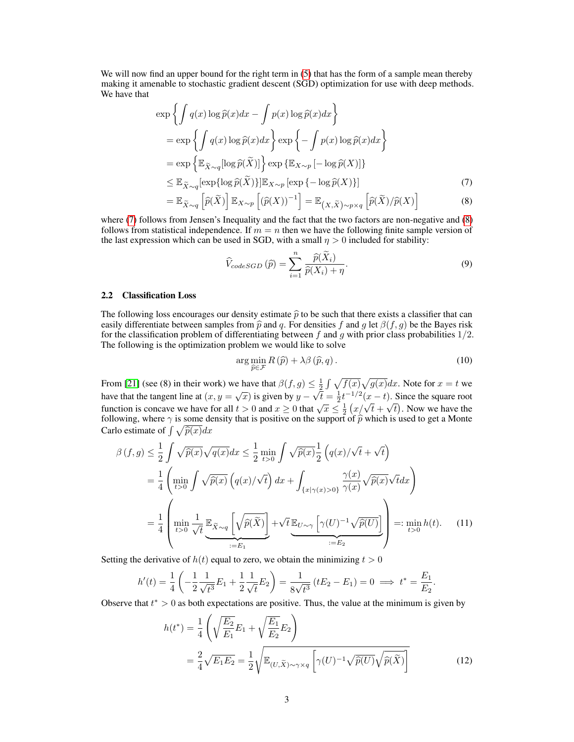We will now find an upper bound for the right term in  $(5)$  that has the form of a sample mean thereby making it amenable to stochastic gradient descent (SGD) optimization for use with deep methods. We have that

$$
\exp\left\{\int q(x)\log \widehat{p}(x)dx - \int p(x)\log \widehat{p}(x)dx\right\}\n= \exp\left\{\int q(x)\log \widehat{p}(x)dx\right\} \exp\left\{-\int p(x)\log \widehat{p}(x)dx\right\}\n= \exp\left\{\mathbb{E}_{\widetilde{X}\sim q}[\log \widehat{p}(\widetilde{X})]\right\} \exp\left\{\mathbb{E}_{X\sim p}[-\log \widehat{p}(X)]\right\}\n\leq \mathbb{E}_{\widetilde{X}\sim q}[\exp\{\log \widehat{p}(\widetilde{X})\}]\mathbb{E}_{X\sim p}[\exp\{-\log \widehat{p}(X)\}]\n= \mathbb{E}_{\widetilde{X}\sim q}\left[\widehat{p}(\widetilde{X})\right]\mathbb{E}_{X\sim p}\left[(\widehat{p}(X))^{-1}\right] = \mathbb{E}_{(X,\widetilde{X})\sim p\times q}\left[\widehat{p}(\widetilde{X})/\widehat{p}(X)\right]
$$
\n(8)

where [\(7\)](#page-2-0) follows from Jensen's Inequality and the fact that the two factors are non-negative and [\(8\)](#page-2-1) follows from statistical independence. If  $m = n$  then we have the following finite sample version of the last expression which can be used in SGD, with a small  $\eta > 0$  included for stability:

<span id="page-2-3"></span><span id="page-2-1"></span><span id="page-2-0"></span>
$$
\widehat{V}_{codeSGD}(\widehat{p}) = \sum_{i=1}^{n} \frac{\widehat{p}(\widetilde{X}_i)}{\widehat{p}(X_i) + \eta}.
$$
\n(9)

### 2.2 Classification Loss

The following loss encourages our density estimate  $\hat{p}$  to be such that there exists a classifier that can easily differentiate between samples from  $\hat{p}$  and q. For densities f and g let  $\beta(f, g)$  be the Bayes risk for the classification problem of differentiating between  $f$  and  $g$  with prior class probabilities  $1/2$ . The following is the optimization problem we would like to solve

$$
\arg\min_{\widehat{p}\in\mathcal{F}} R\left(\widehat{p}\right) + \lambda\beta\left(\widehat{p},q\right). \tag{10}
$$

From [\[21\]](#page-6-5) (see (8) in their work) we have that  $\beta(f,g) \leq \frac{1}{2} \int \sqrt{f(x)} \sqrt{g(x)} dx$ . Note for  $x = t$  we have that the tangent line at  $(x, y = \sqrt{x})$  is given by  $y -$ √  $\overline{t} = \frac{1}{2} t^{-1/2} (x - t)$ . Since the square root function is concave we have for all  $t > 0$  and  $x \ge 0$  that  $\sqrt{x} \le \frac{1}{2} (x/\sqrt{t} + \sqrt{t})$ . Now we have the following, where  $\gamma$  is some density that is positive on the support of  $\hat{p}$  which is used to get a Monte Carlo estimate of  $\int \sqrt{\hat{p}(x)}dx$ 

$$
\beta(f,g) \leq \frac{1}{2} \int \sqrt{\hat{p}(x)} \sqrt{q(x)} dx \leq \frac{1}{2} \min_{t>0} \int \sqrt{\hat{p}(x)} \frac{1}{2} (q(x)/\sqrt{t} + \sqrt{t})
$$
  
\n
$$
= \frac{1}{4} \left( \min_{t>0} \int \sqrt{\hat{p}(x)} (q(x)/\sqrt{t}) dx + \int_{\{x|\gamma(x)>0\}} \frac{\gamma(x)}{\gamma(x)} \sqrt{\hat{p}(x)} \sqrt{t} dx \right)
$$
  
\n
$$
= \frac{1}{4} \left( \min_{t>0} \frac{1}{\sqrt{t}} \underbrace{\mathbb{E}_{\tilde{X}\sim q} \left[ \sqrt{\hat{p}(\tilde{X})} \right]}_{:=E_1} + \sqrt{t} \underbrace{\mathbb{E}_{U\sim\gamma} \left[ \gamma(U)^{-1} \sqrt{\hat{p}(U)} \right]}_{:=E_2} \right) =: \min_{t>0} h(t). \quad (11)
$$

Setting the derivative of  $h(t)$  equal to zero, we obtain the minimizing  $t > 0$ 

$$
h'(t) = \frac{1}{4} \left( -\frac{1}{2} \frac{1}{\sqrt{t^3}} E_1 + \frac{1}{2} \frac{1}{\sqrt{t}} E_2 \right) = \frac{1}{8\sqrt{t^3}} \left( tE_2 - E_1 \right) = 0 \implies t^* = \frac{E_1}{E_2}.
$$

Observe that  $t^* > 0$  as both expectations are positive. Thus, the value at the minimum is given by

<span id="page-2-2"></span>
$$
h(t^*) = \frac{1}{4} \left( \sqrt{\frac{E_2}{E_1}} E_1 + \sqrt{\frac{E_1}{E_2}} E_2 \right)
$$
  
= 
$$
\frac{2}{4} \sqrt{E_1 E_2} = \frac{1}{2} \sqrt{\mathbb{E}_{(U,\widetilde{X}) \sim \gamma \times q} \left[ \gamma(U)^{-1} \sqrt{\widehat{p}(U)} \sqrt{\widehat{p}(\widetilde{X})} \right]}
$$
(12)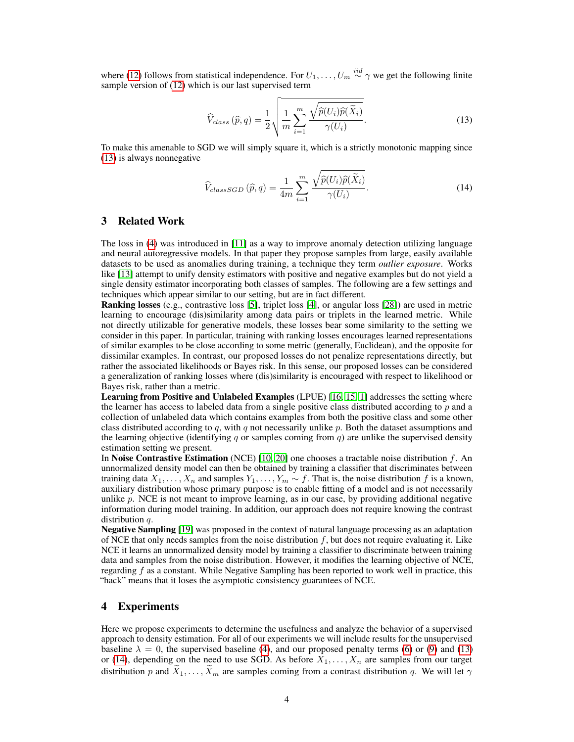where [\(12\)](#page-2-2) follows from statistical independence. For  $U_1, \ldots, U_m \stackrel{iid}{\sim} \gamma$  we get the following finite sample version of [\(12\)](#page-2-2) which is our last supervised term

<span id="page-3-2"></span>
$$
\widehat{V}_{class}(\widehat{p}, q) = \frac{1}{2} \sqrt{\frac{1}{m} \sum_{i=1}^{m} \frac{\sqrt{\widehat{p}(U_i)\widehat{p}(\widetilde{X}_i)}}{\gamma(U_i)}}.
$$
\n(13)

To make this amenable to SGD we will simply square it, which is a strictly monotonic mapping since [\(13\)](#page-3-2) is always nonnegative

<span id="page-3-3"></span>
$$
\widehat{V}_{classSGD}(\widehat{p}, q) = \frac{1}{4m} \sum_{i=1}^{m} \frac{\sqrt{\widehat{p}(U_i)\widehat{p}(\widetilde{X}_i)}}{\gamma(U_i)}.
$$
\n(14)

# <span id="page-3-0"></span>3 Related Work

The loss in [\(4\)](#page-1-2) was introduced in [\[11\]](#page-6-4) as a way to improve anomaly detection utilizing language and neural autoregressive models. In that paper they propose samples from large, easily available datasets to be used as anomalies during training, a technique they term *outlier exposure*. Works like [\[13\]](#page-6-6) attempt to unify density estimators with positive and negative examples but do not yield a single density estimator incorporating both classes of samples. The following are a few settings and techniques which appear similar to our setting, but are in fact different.

Ranking losses (e.g., contrastive loss [\[5\]](#page-5-1), triplet loss [\[4\]](#page-5-2), or angular loss [\[28\]](#page-7-3)) are used in metric learning to encourage (dis)similarity among data pairs or triplets in the learned metric. While not directly utilizable for generative models, these losses bear some similarity to the setting we consider in this paper. In particular, training with ranking losses encourages learned representations of similar examples to be close according to some metric (generally, Euclidean), and the opposite for dissimilar examples. In contrast, our proposed losses do not penalize representations directly, but rather the associated likelihoods or Bayes risk. In this sense, our proposed losses can be considered a generalization of ranking losses where (dis)similarity is encouraged with respect to likelihood or Bayes risk, rather than a metric.

Learning from Positive and Unlabeled Examples (LPUE) [\[16,](#page-6-7) [15,](#page-6-8) [1\]](#page-5-3) addresses the setting where the learner has access to labeled data from a single positive class distributed according to  $p$  and a collection of unlabeled data which contains examples from both the positive class and some other class distributed according to q, with q not necessarily unlike  $p$ . Both the dataset assumptions and the learning objective (identifying q or samples coming from q) are unlike the supervised density estimation setting we present.

In Noise Contrastive Estimation (NCE) [\[10,](#page-6-9) [20\]](#page-6-10) one chooses a tractable noise distribution f. An unnormalized density model can then be obtained by training a classifier that discriminates between training data  $X_1, \ldots, X_n$  and samples  $Y_1, \ldots, Y_m \sim f$ . That is, the noise distribution f is a known, auxiliary distribution whose primary purpose is to enable fitting of a model and is not necessarily unlike  $p$ . NCE is not meant to improve learning, as in our case, by providing additional negative information during model training. In addition, our approach does not require knowing the contrast distribution  $q$ .

Negative Sampling [\[19\]](#page-6-11) was proposed in the context of natural language processing as an adaptation of NCE that only needs samples from the noise distribution  $f$ , but does not require evaluating it. Like NCE it learns an unnormalized density model by training a classifier to discriminate between training data and samples from the noise distribution. However, it modifies the learning objective of NCE, regarding  $f$  as a constant. While Negative Sampling has been reported to work well in practice, this "hack" means that it loses the asymptotic consistency guarantees of NCE.

## <span id="page-3-1"></span>4 Experiments

Here we propose experiments to determine the usefulness and analyze the behavior of a supervised approach to density estimation. For all of our experiments we will include results for the unsupervised baseline  $\lambda = 0$ , the supervised baseline [\(4\)](#page-1-2), and our proposed penalty terms [\(6\)](#page-1-5) or [\(9\)](#page-2-3) and [\(13\)](#page-3-2) or [\(14\)](#page-3-3), depending on the need to use SGD. As before  $\overline{X}_1, \ldots, \overline{X}_n$  are samples from our target distribution p and  $\widetilde{X}_1, \ldots, \widetilde{X}_m$  are samples coming from a contrast distribution q. We will let  $\gamma$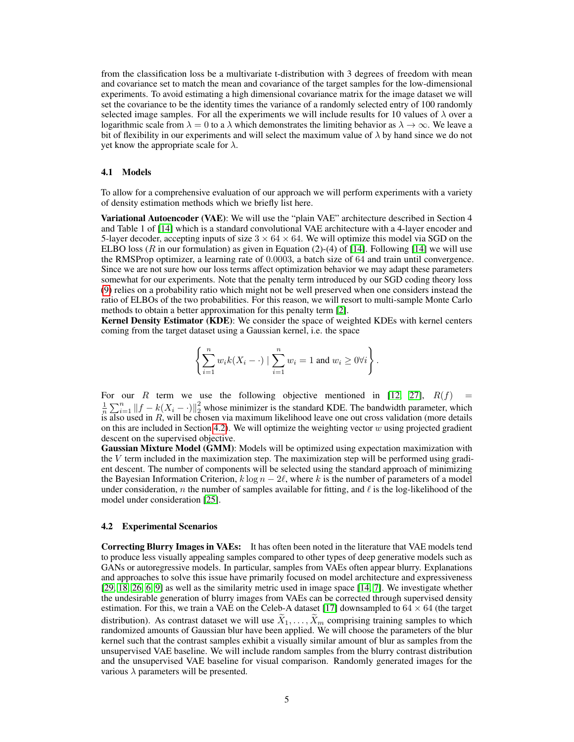from the classification loss be a multivariate t-distribution with 3 degrees of freedom with mean and covariance set to match the mean and covariance of the target samples for the low-dimensional experiments. To avoid estimating a high dimensional covariance matrix for the image dataset we will set the covariance to be the identity times the variance of a randomly selected entry of 100 randomly selected image samples. For all the experiments we will include results for 10 values of  $\lambda$  over a logarithmic scale from  $\lambda = 0$  to a  $\lambda$  which demonstrates the limiting behavior as  $\lambda \to \infty$ . We leave a bit of flexibility in our experiments and will select the maximum value of  $\lambda$  by hand since we do not yet know the appropriate scale for  $\lambda$ .

### <span id="page-4-1"></span>4.1 Models

To allow for a comprehensive evaluation of our approach we will perform experiments with a variety of density estimation methods which we briefly list here.

Variational Autoencoder (VAE): We will use the "plain VAE" architecture described in Section 4 and Table 1 of [\[14\]](#page-6-12) which is a standard convolutional VAE architecture with a 4-layer encoder and 5-layer decoder, accepting inputs of size  $3 \times 64 \times 64$ . We will optimize this model via SGD on the ELBO loss (R in our formulation) as given in Equation (2)-(4) of [\[14\]](#page-6-12). Following [14] we will use the RMSProp optimizer, a learning rate of 0.0003, a batch size of 64 and train until convergence. Since we are not sure how our loss terms affect optimization behavior we may adapt these parameters somewhat for our experiments. Note that the penalty term introduced by our SGD coding theory loss [\(9\)](#page-2-3) relies on a probability ratio which might not be well preserved when one considers instead the ratio of ELBOs of the two probabilities. For this reason, we will resort to multi-sample Monte Carlo methods to obtain a better approximation for this penalty term [\[2\]](#page-5-4).

Kernel Density Estimator (KDE): We consider the space of weighted KDEs with kernel centers coming from the target dataset using a Gaussian kernel, i.e. the space

$$
\left\{\sum_{i=1}^n w_i k(X_i-\cdot) \mid \sum_{i=1}^n w_i = 1 \text{ and } w_i \ge 0 \forall i\right\}.
$$

For our R term we use the following objective mentioned in [\[12,](#page-6-13) [27\]](#page-7-4),  $R(f)$  =  $\frac{1}{n}\sum_{i=1}^n ||f - k(X_i - \cdot)||_2^2$  whose minimizer is the standard KDE. The bandwidth parameter, which is also used in  $R$ , will be chosen via maximum likelihood leave one out cross validation (more details on this are included in Section [4.2\)](#page-4-0). We will optimize the weighting vector  $w$  using projected gradient descent on the supervised objective.

Gaussian Mixture Model (GMM): Models will be optimized using expectation maximization with the V term included in the maximization step. The maximization step will be performed using gradient descent. The number of components will be selected using the standard approach of minimizing the Bayesian Information Criterion,  $k \log n - 2\ell$ , where k is the number of parameters of a model under consideration, n the number of samples available for fitting, and  $\ell$  is the log-likelihood of the model under consideration [\[25\]](#page-6-14).

#### <span id="page-4-0"></span>4.2 Experimental Scenarios

Correcting Blurry Images in VAEs: It has often been noted in the literature that VAE models tend to produce less visually appealing samples compared to other types of deep generative models such as GANs or autoregressive models. In particular, samples from VAEs often appear blurry. Explanations and approaches to solve this issue have primarily focused on model architecture and expressiveness [\[29,](#page-7-5) [18,](#page-6-15) [26,](#page-7-6) [6,](#page-5-5) [9\]](#page-6-16) as well as the similarity metric used in image space [\[14,](#page-6-12) [7\]](#page-6-17). We investigate whether the undesirable generation of blurry images from VAEs can be corrected through supervised density estimation. For this, we train a VAE on the Celeb-A dataset [\[17\]](#page-6-18) downsampled to  $64 \times 64$  (the target distribution). As contrast dataset we will use  $\widetilde{X}_1, \ldots, \widetilde{X}_m$  comprising training samples to which randomized amounts of Gaussian blur have been applied. We will choose the parameters of the blur kernel such that the contrast samples exhibit a visually similar amount of blur as samples from the unsupervised VAE baseline. We will include random samples from the blurry contrast distribution and the unsupervised VAE baseline for visual comparison. Randomly generated images for the various  $\lambda$  parameters will be presented.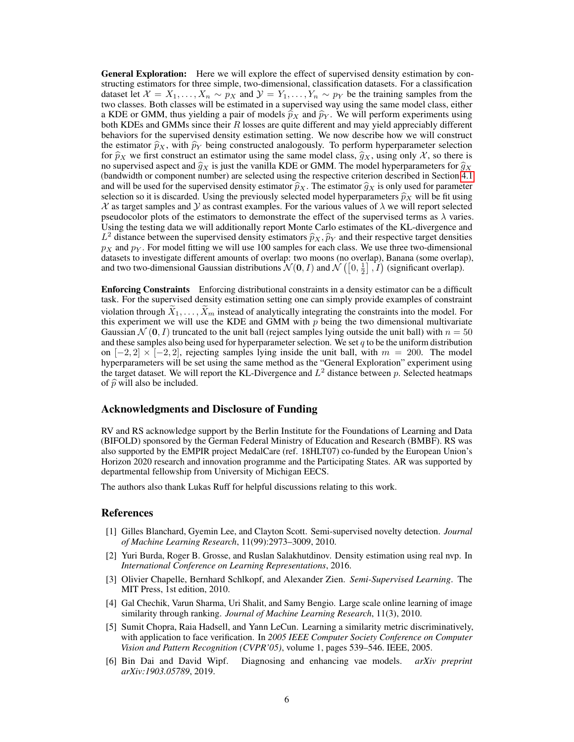General Exploration: Here we will explore the effect of supervised density estimation by constructing estimators for three simple, two-dimensional, classification datasets. For a classification dataset let  $X = X_1, \ldots, X_n \sim p_X$  and  $\mathcal{Y} = Y_1, \ldots, Y_n \sim p_Y$  be the training samples from the two classes. Both classes will be estimated in a supervised way using the same model class, either a KDE or GMM, thus yielding a pair of models  $\hat{p}_X$  and  $\hat{p}_Y$ . We will perform experiments using both KDEs and GMMs since their  $R$  losses are quite different and may yield appreciably different behaviors for the supervised density estimation setting. We now describe how we will construct the estimator  $\hat{p}_X$ , with  $\hat{p}_Y$  being constructed analogously. To perform hyperparameter selection for  $\hat{p}_X$  we first construct an estimator using the same model class,  $\hat{g}_X$ , using only X, so there is no supervised aspect and  $\hat{g}_X$  is just the vanilla KDE or GMM. The model hyperparameters for  $\hat{g}_X$ (bandwidth or component number) are selected using the respective criterion described in Section [4.1](#page-4-1) and will be used for the supervised density estimator  $\hat{p}_X$ . The estimator  $\hat{q}_X$  is only used for parameter selection so it is discarded. Using the previously selected model hyperparameters  $\hat{p}_X$  will be fit using  $\mathcal X$  as target samples and  $\mathcal Y$  as contrast examples. For the various values of  $\lambda$  we will report selected pseudocolor plots of the estimators to demonstrate the effect of the supervised terms as  $\lambda$  varies. Using the testing data we will additionally report Monte Carlo estimates of the KL-divergence and  $L^2$  distance between the supervised density estimators  $\hat{p}_X, \hat{p}_Y$  and their respective target densities  $p_X$  and  $p_Y$ . For model fitting we will use 100 samples for each class. We use three two-dimensional  $p_X$  and  $p_Y$ . For model fitting we will use 100 samples for each class. We use three two-dimensional datasets to investigate different amounts of overlap: two moons (no overlap), Banana (some overlap), and two two-dimensional Gaussian distributions  $\mathcal{N}(\mathbf{0}, I)$  and  $\mathcal{N}\left(\left[0, \frac{1}{2}\right], I\right)$  (significant overlap).

Enforcing Constraints Enforcing distributional constraints in a density estimator can be a difficult task. For the supervised density estimation setting one can simply provide examples of constraint violation through  $X_1, \ldots, X_m$  instead of analytically integrating the constraints into the model. For this experiment we will use the KDE and GMM with  $p$  being the two dimensional multivariate Gaussian  $\mathcal{N}(0, I)$  truncated to the unit ball (reject samples lying outside the unit ball) with  $n = 50$ and these samples also being used for hyperparameter selection. We set  $q$  to be the uniform distribution on  $[-2, 2] \times [-2, 2]$ , rejecting samples lying inside the unit ball, with  $m = 200$ . The model hyperparameters will be set using the same method as the "General Exploration" experiment using the target dataset. We will report the KL-Divergence and  $L^2$  distance between p. Selected heatmaps of  $\hat{p}$  will also be included.

## Acknowledgments and Disclosure of Funding

RV and RS acknowledge support by the Berlin Institute for the Foundations of Learning and Data (BIFOLD) sponsored by the German Federal Ministry of Education and Research (BMBF). RS was also supported by the EMPIR project MedalCare (ref. 18HLT07) co-funded by the European Union's Horizon 2020 research and innovation programme and the Participating States. AR was supported by departmental fellowship from University of Michigan EECS.

The authors also thank Lukas Ruff for helpful discussions relating to this work.

## References

- <span id="page-5-3"></span>[1] Gilles Blanchard, Gyemin Lee, and Clayton Scott. Semi-supervised novelty detection. *Journal of Machine Learning Research*, 11(99):2973–3009, 2010.
- <span id="page-5-4"></span>[2] Yuri Burda, Roger B. Grosse, and Ruslan Salakhutdinov. Density estimation using real nvp. In *International Conference on Learning Representations*, 2016.
- <span id="page-5-0"></span>[3] Olivier Chapelle, Bernhard Schlkopf, and Alexander Zien. *Semi-Supervised Learning*. The MIT Press, 1st edition, 2010.
- <span id="page-5-2"></span>[4] Gal Chechik, Varun Sharma, Uri Shalit, and Samy Bengio. Large scale online learning of image similarity through ranking. *Journal of Machine Learning Research*, 11(3), 2010.
- <span id="page-5-1"></span>[5] Sumit Chopra, Raia Hadsell, and Yann LeCun. Learning a similarity metric discriminatively, with application to face verification. In *2005 IEEE Computer Society Conference on Computer Vision and Pattern Recognition (CVPR'05)*, volume 1, pages 539–546. IEEE, 2005.
- <span id="page-5-5"></span>[6] Bin Dai and David Wipf. Diagnosing and enhancing vae models. *arXiv preprint arXiv:1903.05789*, 2019.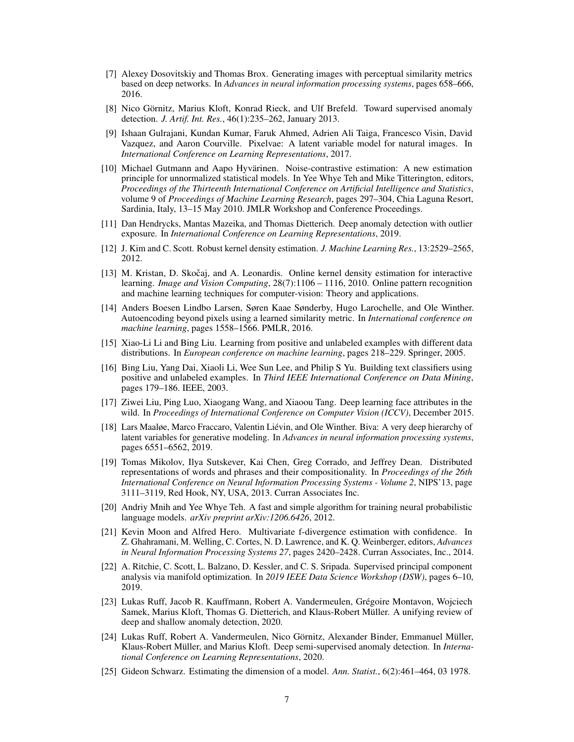- <span id="page-6-17"></span>[7] Alexey Dosovitskiy and Thomas Brox. Generating images with perceptual similarity metrics based on deep networks. In *Advances in neural information processing systems*, pages 658–666, 2016.
- <span id="page-6-2"></span>[8] Nico Görnitz, Marius Kloft, Konrad Rieck, and Ulf Brefeld. Toward supervised anomaly detection. *J. Artif. Int. Res.*, 46(1):235–262, January 2013.
- <span id="page-6-16"></span>[9] Ishaan Gulrajani, Kundan Kumar, Faruk Ahmed, Adrien Ali Taiga, Francesco Visin, David Vazquez, and Aaron Courville. Pixelvae: A latent variable model for natural images. In *International Conference on Learning Representations*, 2017.
- <span id="page-6-9"></span>[10] Michael Gutmann and Aapo Hyvärinen. Noise-contrastive estimation: A new estimation principle for unnormalized statistical models. In Yee Whye Teh and Mike Titterington, editors, *Proceedings of the Thirteenth International Conference on Artificial Intelligence and Statistics*, volume 9 of *Proceedings of Machine Learning Research*, pages 297–304, Chia Laguna Resort, Sardinia, Italy, 13–15 May 2010. JMLR Workshop and Conference Proceedings.
- <span id="page-6-4"></span>[11] Dan Hendrycks, Mantas Mazeika, and Thomas Dietterich. Deep anomaly detection with outlier exposure. In *International Conference on Learning Representations*, 2019.
- <span id="page-6-13"></span>[12] J. Kim and C. Scott. Robust kernel density estimation. *J. Machine Learning Res.*, 13:2529–2565, 2012.
- <span id="page-6-6"></span>[13] M. Kristan, D. Skočaj, and A. Leonardis. Online kernel density estimation for interactive learning. *Image and Vision Computing*, 28(7):1106 – 1116, 2010. Online pattern recognition and machine learning techniques for computer-vision: Theory and applications.
- <span id="page-6-12"></span>[14] Anders Boesen Lindbo Larsen, Søren Kaae Sønderby, Hugo Larochelle, and Ole Winther. Autoencoding beyond pixels using a learned similarity metric. In *International conference on machine learning*, pages 1558–1566. PMLR, 2016.
- <span id="page-6-8"></span>[15] Xiao-Li Li and Bing Liu. Learning from positive and unlabeled examples with different data distributions. In *European conference on machine learning*, pages 218–229. Springer, 2005.
- <span id="page-6-7"></span>[16] Bing Liu, Yang Dai, Xiaoli Li, Wee Sun Lee, and Philip S Yu. Building text classifiers using positive and unlabeled examples. In *Third IEEE International Conference on Data Mining*, pages 179–186. IEEE, 2003.
- <span id="page-6-18"></span>[17] Ziwei Liu, Ping Luo, Xiaogang Wang, and Xiaoou Tang. Deep learning face attributes in the wild. In *Proceedings of International Conference on Computer Vision (ICCV)*, December 2015.
- <span id="page-6-15"></span>[18] Lars Maaløe, Marco Fraccaro, Valentin Liévin, and Ole Winther. Biva: A very deep hierarchy of latent variables for generative modeling. In *Advances in neural information processing systems*, pages 6551–6562, 2019.
- <span id="page-6-11"></span>[19] Tomas Mikolov, Ilya Sutskever, Kai Chen, Greg Corrado, and Jeffrey Dean. Distributed representations of words and phrases and their compositionality. In *Proceedings of the 26th International Conference on Neural Information Processing Systems - Volume 2*, NIPS'13, page 3111–3119, Red Hook, NY, USA, 2013. Curran Associates Inc.
- <span id="page-6-10"></span>[20] Andriy Mnih and Yee Whye Teh. A fast and simple algorithm for training neural probabilistic language models. *arXiv preprint arXiv:1206.6426*, 2012.
- <span id="page-6-5"></span>[21] Kevin Moon and Alfred Hero. Multivariate f-divergence estimation with confidence. In Z. Ghahramani, M. Welling, C. Cortes, N. D. Lawrence, and K. Q. Weinberger, editors, *Advances in Neural Information Processing Systems 27*, pages 2420–2428. Curran Associates, Inc., 2014.
- <span id="page-6-0"></span>[22] A. Ritchie, C. Scott, L. Balzano, D. Kessler, and C. S. Sripada. Supervised principal component analysis via manifold optimization. In *2019 IEEE Data Science Workshop (DSW)*, pages 6–10, 2019.
- <span id="page-6-1"></span>[23] Lukas Ruff, Jacob R. Kauffmann, Robert A. Vandermeulen, Grégoire Montavon, Wojciech Samek, Marius Kloft, Thomas G. Dietterich, and Klaus-Robert Müller. A unifying review of deep and shallow anomaly detection, 2020.
- <span id="page-6-3"></span>[24] Lukas Ruff, Robert A. Vandermeulen, Nico Görnitz, Alexander Binder, Emmanuel Müller, Klaus-Robert Müller, and Marius Kloft. Deep semi-supervised anomaly detection. In *International Conference on Learning Representations*, 2020.
- <span id="page-6-14"></span>[25] Gideon Schwarz. Estimating the dimension of a model. *Ann. Statist.*, 6(2):461–464, 03 1978.